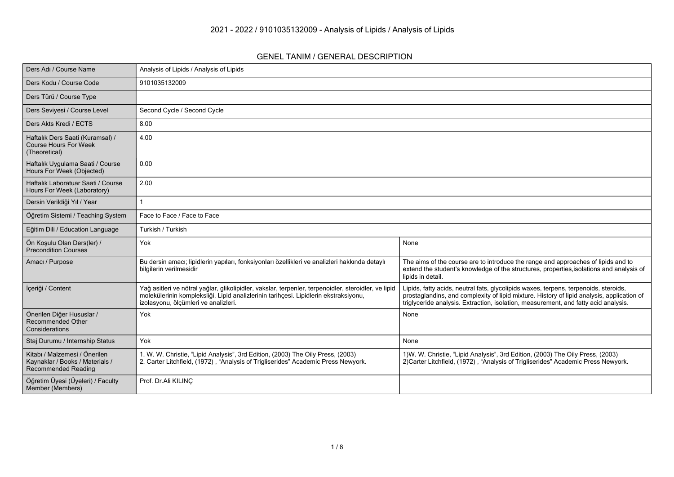## **GENEL TANIM / GENERAL DESCRIPTION**

| Ders Adı / Course Name                                                                         | Analysis of Lipids / Analysis of Lipids                                                                                                                                                                                              |                                                                                                                                                                                                                                                                           |
|------------------------------------------------------------------------------------------------|--------------------------------------------------------------------------------------------------------------------------------------------------------------------------------------------------------------------------------------|---------------------------------------------------------------------------------------------------------------------------------------------------------------------------------------------------------------------------------------------------------------------------|
| Ders Kodu / Course Code                                                                        | 9101035132009                                                                                                                                                                                                                        |                                                                                                                                                                                                                                                                           |
| Ders Türü / Course Type                                                                        |                                                                                                                                                                                                                                      |                                                                                                                                                                                                                                                                           |
| Ders Seviyesi / Course Level                                                                   | Second Cycle / Second Cycle                                                                                                                                                                                                          |                                                                                                                                                                                                                                                                           |
| Ders Akts Kredi / ECTS                                                                         | 8.00                                                                                                                                                                                                                                 |                                                                                                                                                                                                                                                                           |
| Haftalık Ders Saati (Kuramsal) /<br><b>Course Hours For Week</b><br>(Theoretical)              | 4.00                                                                                                                                                                                                                                 |                                                                                                                                                                                                                                                                           |
| Haftalık Uygulama Saati / Course<br>Hours For Week (Objected)                                  | 0.00                                                                                                                                                                                                                                 |                                                                                                                                                                                                                                                                           |
| Haftalık Laboratuar Saati / Course<br>Hours For Week (Laboratory)                              | 2.00                                                                                                                                                                                                                                 |                                                                                                                                                                                                                                                                           |
| Dersin Verildiği Yıl / Year                                                                    |                                                                                                                                                                                                                                      |                                                                                                                                                                                                                                                                           |
| Öğretim Sistemi / Teaching System                                                              | Face to Face / Face to Face                                                                                                                                                                                                          |                                                                                                                                                                                                                                                                           |
| Eğitim Dili / Education Language                                                               | Turkish / Turkish                                                                                                                                                                                                                    |                                                                                                                                                                                                                                                                           |
| Ön Koşulu Olan Ders(ler) /<br>Precondition Courses                                             | Yok                                                                                                                                                                                                                                  | None                                                                                                                                                                                                                                                                      |
| Amacı / Purpose                                                                                | Bu dersin amacı; lipidlerin yapıları, fonksiyonları özellikleri ve analizleri hakkında detaylı<br>bilgilerin verilmesidir                                                                                                            | The aims of the course are to introduce the range and approaches of lipids and to<br>extend the student's knowledge of the structures, properties, isolations and analysis of<br>lipids in detail.                                                                        |
| İçeriği / Content                                                                              | Yağ asitleri ve nötral yağlar, glikolipidler, vakslar, terpenler, terpenoidler, steroidler, ve lipid<br>molekülerinin kompleksliği. Lipid analizlerinin tarihçesi. Lipidlerin ekstraksiyonu,<br>izolasyonu, ölçümleri ve analizleri. | Lipids, fatty acids, neutral fats, glycolipids waxes, terpens, terpenoids, steroids,<br>prostaglandins, and complexity of lipid mixture. History of lipid analysis, application of<br>triglyceride analysis. Extraction, isolation, measurement, and fatty acid analysis. |
| Önerilen Diğer Hususlar /<br><b>Recommended Other</b><br>Considerations                        | Yok                                                                                                                                                                                                                                  | None                                                                                                                                                                                                                                                                      |
| Staj Durumu / Internship Status                                                                | Yok                                                                                                                                                                                                                                  | None                                                                                                                                                                                                                                                                      |
| Kitabı / Malzemesi / Önerilen<br>Kaynaklar / Books / Materials /<br><b>Recommended Reading</b> | 1. W. W. Christie, "Lipid Analysis", 3rd Edition, (2003) The Oily Press, (2003)<br>2. Carter Litchfield, (1972), "Analysis of Trigliserides" Academic Press Newyork.                                                                 | 1) W. W. Christie, "Lipid Analysis", 3rd Edition, (2003) The Oily Press, (2003)<br>2) Carter Litchfield, (1972), "Analysis of Trigliserides" Academic Press Newyork.                                                                                                      |
| Öğretim Üyesi (Üyeleri) / Faculty<br>Member (Members)                                          | Prof. Dr.Ali KILINC                                                                                                                                                                                                                  |                                                                                                                                                                                                                                                                           |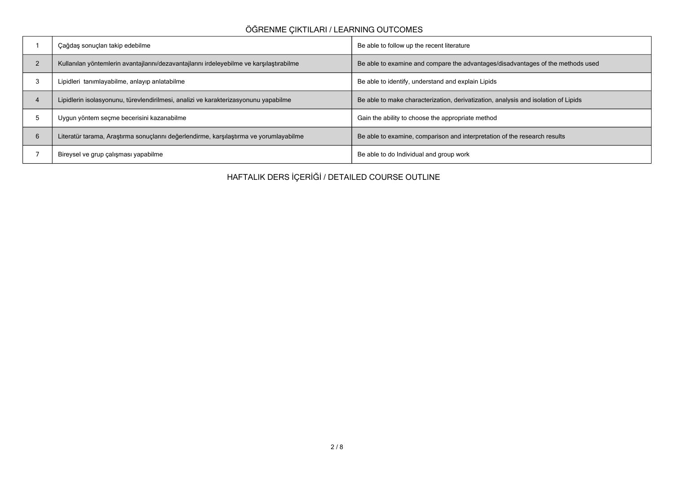## **ÖĞRENME ÇIKTILARI / LEARNING OUTCOMES**

| Çağdaş sonuçları takip edebilme                                                          | Be able to follow up the recent literature                                         |
|------------------------------------------------------------------------------------------|------------------------------------------------------------------------------------|
| Kullanılan yöntemlerin avantajlarını/dezavantajlarını irdeleyebilme ve karşılaştırabilme | Be able to examine and compare the advantages/disadvantages of the methods used    |
| Lipidleri tanımlayabilme, anlayıp anlatabilme                                            | Be able to identify, understand and explain Lipids                                 |
| Lipidlerin isolasyonunu, türevlendirilmesi, analizi ve karakterizasyonunu yapabilme      | Be able to make characterization, derivatization, analysis and isolation of Lipids |
| Uygun yöntem seçme becerisini kazanabilme                                                | Gain the ability to choose the appropriate method                                  |
| Literatür tarama, Araştırma sonuçlarını değerlendirme, karşılaştırma ve yorumlayabilme   | Be able to examine, comparison and interpretation of the research results          |
| Bireysel ve grup çalışması yapabilme                                                     | Be able to do Individual and group work                                            |

**HAFTALIK DERS İÇERİĞİ / DETAILED COURSE OUTLINE**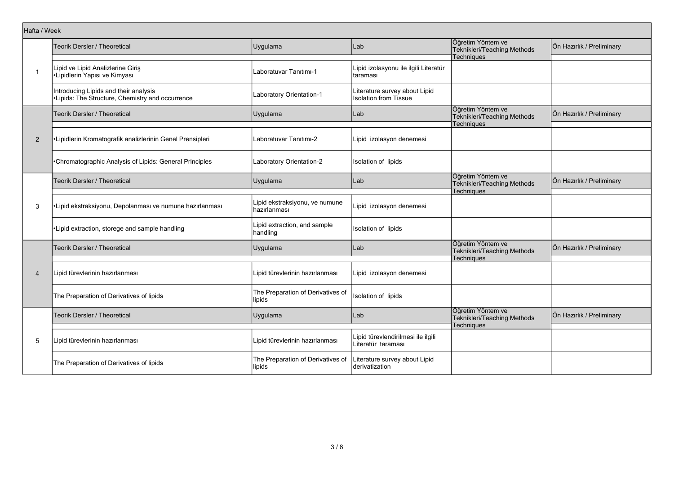| Hafta / Week   |                                                                                           |                                                |                                                               |                                                                       |                           |
|----------------|-------------------------------------------------------------------------------------------|------------------------------------------------|---------------------------------------------------------------|-----------------------------------------------------------------------|---------------------------|
|                | Teorik Dersler / Theoretical                                                              | Uygulama                                       | Lab                                                           | Öğretim Yöntem ve<br>Teknikleri/Teaching Methods<br><b>Techniques</b> | Ön Hazırlık / Preliminary |
| $\mathbf{1}$   | Lipid ve Lipid Analizlerine Giriş<br>•Lipidlerin Yapısı ve Kimyası                        | Laboratuvar Tanıtımı-1                         | Lipid izolasyonu ile ilgili Literatür<br>taraması             |                                                                       |                           |
|                | Introducing Lipids and their analysis<br>•Lipids: The Structure, Chemistry and occurrence | Laboratory Orientation-1                       | Literature survey about Lipid<br><b>Isolation from Tissue</b> |                                                                       |                           |
|                | Teorik Dersler / Theoretical                                                              | Uygulama                                       | Lab                                                           | Öğretim Yöntem ve<br>Teknikleri/Teaching Methods<br><b>Techniques</b> | Ön Hazırlık / Preliminary |
| 2              | Lipidlerin Kromatografik analizlerinin Genel Prensipleri                                  | Laboratuvar Tanıtımı-2                         | Lipid izolasyon denemesi                                      |                                                                       |                           |
|                | Chromatographic Analysis of Lipids: General Principles                                    | Laboratory Orientation-2                       | Isolation of lipids                                           |                                                                       |                           |
|                | <b>Teorik Dersler / Theoretical</b>                                                       | Uygulama                                       | Lab                                                           | Öğretim Yöntem ve<br>Teknikleri/Teaching Methods<br><b>Techniques</b> | Ön Hazırlık / Preliminary |
| 3              | •Lipid ekstraksiyonu, Depolanması ve numune hazırlanması                                  | Lipid ekstraksiyonu, ve numune<br>hazırlanması | Lipid izolasyon denemesi                                      |                                                                       |                           |
|                | •Lipid extraction, storege and sample handling                                            | Lipid extraction, and sample<br>handling       | Isolation of lipids                                           |                                                                       |                           |
|                | Teorik Dersler / Theoretical                                                              | Uygulama                                       | Lab                                                           | Öğretim Yöntem ve<br>Teknikleri/Teaching Methods<br><b>Techniques</b> | Ön Hazırlık / Preliminary |
| $\overline{4}$ | Lipid türevlerinin hazırlanması                                                           | Lipid türevlerinin hazırlanması                | Lipid izolasyon denemesi                                      |                                                                       |                           |
|                | The Preparation of Derivatives of lipids                                                  | The Preparation of Derivatives of<br>lipids    | <b>Isolation of lipids</b>                                    |                                                                       |                           |
|                | Teorik Dersler / Theoretical                                                              | Uygulama                                       | Lab                                                           | Öğretim Yöntem ve<br>Teknikleri/Teaching Methods<br>Techniques        | Ön Hazırlık / Preliminary |
| 5              | Lipid türevlerinin hazırlanması                                                           | Lipid türevlerinin hazırlanması                | Lipid türevlendirilmesi ile ilgili<br>Literatür taraması      |                                                                       |                           |
|                | The Preparation of Derivatives of lipids                                                  | The Preparation of Derivatives of<br>lipids    | Literature survey about Lipid<br>derivatization               |                                                                       |                           |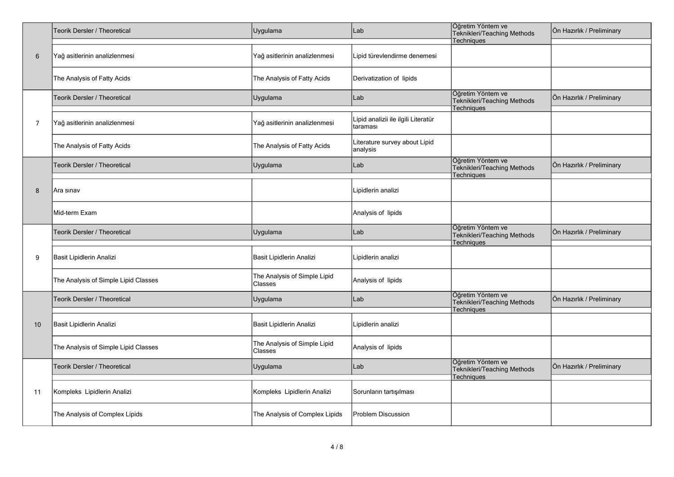|                | Teorik Dersler / Theoretical         | Uygulama                                | Lab                                             | Öğretim Yöntem ve<br>Teknikleri/Teaching Methods<br>Techniques        | Ön Hazırlık / Preliminary |
|----------------|--------------------------------------|-----------------------------------------|-------------------------------------------------|-----------------------------------------------------------------------|---------------------------|
| $6\phantom{1}$ | Yağ asitlerinin analizlenmesi        | Yağ asitlerinin analizlenmesi           | Lipid türevlendirme denemesi                    |                                                                       |                           |
|                | The Analysis of Fatty Acids          | The Analysis of Fatty Acids             | Derivatization of lipids                        |                                                                       |                           |
|                | Teorik Dersler / Theoretical         | Uygulama                                | Lab                                             | Öğretim Yöntem ve<br>Teknikleri/Teaching Methods<br><b>Techniques</b> | Ön Hazırlık / Preliminary |
| $\overline{7}$ | Yağ asitlerinin analizlenmesi        | Yağ asitlerinin analizlenmesi           | Lipid analizii ile ilgili Literatür<br>taraması |                                                                       |                           |
|                | The Analysis of Fatty Acids          | The Analysis of Fatty Acids             | Literature survey about Lipid<br>analysis       |                                                                       |                           |
|                | Teorik Dersler / Theoretical         | Uygulama                                | Lab                                             | Öğretim Yöntem ve<br>Teknikleri/Teaching Methods<br>Techniques        | Ön Hazırlık / Preliminary |
| 8              | Ara sınav                            |                                         | Lipidlerin analizi                              |                                                                       |                           |
|                | Mid-term Exam                        |                                         | Analysis of lipids                              |                                                                       |                           |
|                | Teorik Dersler / Theoretical         | Uygulama                                | Lab                                             | Öğretim Yöntem ve<br>Teknikleri/Teaching Methods<br>Techniques        | Ön Hazırlık / Preliminary |
| 9              | Basit Lipidlerin Analizi             | Basit Lipidlerin Analizi                | Lipidlerin analizi                              |                                                                       |                           |
|                | The Analysis of Simple Lipid Classes | The Analysis of Simple Lipid<br>Classes | Analysis of lipids                              |                                                                       |                           |
|                | Teorik Dersler / Theoretical         | Uygulama                                | Lab                                             | Öğretim Yöntem ve<br>Teknikleri/Teaching Methods<br><b>Techniques</b> | Ön Hazırlık / Preliminary |
| 10             | Basit Lipidlerin Analizi             | Basit Lipidlerin Analizi                | Lipidlerin analizi                              |                                                                       |                           |
|                | The Analysis of Simple Lipid Classes | The Analysis of Simple Lipid<br>Classes | Analysis of lipids                              |                                                                       |                           |
|                | Teorik Dersler / Theoretical         | Uygulama                                | Lab                                             | Öğretim Yöntem ve<br>Teknikleri/Teaching Methods<br>Techniques        | Ön Hazırlık / Preliminary |
| 11             | Kompleks Lipidlerin Analizi          | Kompleks Lipidlerin Analizi             | Sorunların tartışılması                         |                                                                       |                           |
|                | The Analysis of Complex Lipids       | The Analysis of Complex Lipids          | <b>Problem Discussion</b>                       |                                                                       |                           |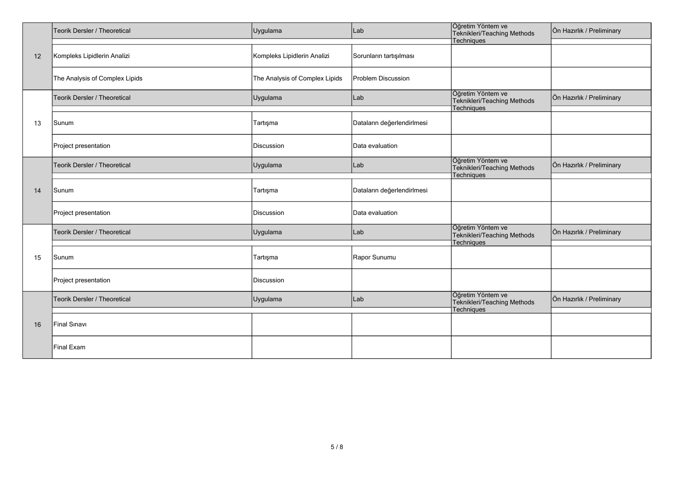|    | Teorik Dersler / Theoretical   | Uygulama                       | Lab                        | Öğretim Yöntem ve<br>Teknikleri/Teaching Methods<br>Techniques | Ön Hazırlık / Preliminary |
|----|--------------------------------|--------------------------------|----------------------------|----------------------------------------------------------------|---------------------------|
| 12 | Kompleks Lipidlerin Analizi    | Kompleks Lipidlerin Analizi    | Sorunların tartışılması    |                                                                |                           |
|    | The Analysis of Complex Lipids | The Analysis of Complex Lipids | Problem Discussion         |                                                                |                           |
|    | Teorik Dersler / Theoretical   | Uygulama                       | Lab                        | Öğretim Yöntem ve<br>Teknikleri/Teaching Methods<br>Techniques | Ön Hazırlık / Preliminary |
| 13 | Sunum                          | Tartışma                       | Dataların değerlendirlmesi |                                                                |                           |
|    | Project presentation           | Discussion                     | Data evaluation            |                                                                |                           |
|    | Teorik Dersler / Theoretical   | Uygulama                       | Lab                        | Öğretim Yöntem ve<br>Teknikleri/Teaching Methods<br>Techniques | Ön Hazırlık / Preliminary |
| 14 | Sunum                          | Tartışma                       | Dataların değerlendirlmesi |                                                                |                           |
|    | Project presentation           | Discussion                     | Data evaluation            |                                                                |                           |
|    | Teorik Dersler / Theoretical   | Uygulama                       | Lab                        | Öğretim Yöntem ve<br>Teknikleri/Teaching Methods<br>Techniques | Ön Hazırlık / Preliminary |
| 15 | Sunum                          | Tartışma                       | Rapor Sunumu               |                                                                |                           |
|    | Project presentation           | Discussion                     |                            |                                                                |                           |
|    | Teorik Dersler / Theoretical   | Uygulama                       | Lab                        | Öğretim Yöntem ve<br>Teknikleri/Teaching Methods<br>Techniques | Ön Hazırlık / Preliminary |
| 16 | Final Sinavi                   |                                |                            |                                                                |                           |
|    | Final Exam                     |                                |                            |                                                                |                           |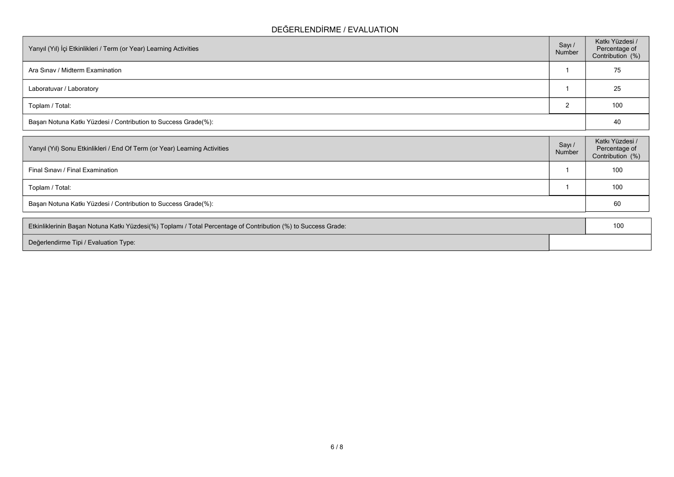## **DEĞERLENDİRME / EVALUATION**

| Yarıyıl (Yıl) İçi Etkinlikleri / Term (or Year) Learning Activities | Sayı /<br>Number | Katkı Yüzdesi /<br>Percentage of<br>Contribution (%) |
|---------------------------------------------------------------------|------------------|------------------------------------------------------|
| Ara Sinav / Midterm Examination                                     |                  | 75                                                   |
| Laboratuvar / Laboratory                                            |                  | 25                                                   |
| Toplam / Total:                                                     |                  | 100                                                  |
| Başarı Notuna Katkı Yüzdesi / Contribution to Success Grade(%):     |                  | 40                                                   |

| Yarıyıl (Yıl) Sonu Etkinlikleri / End Of Term (or Year) Learning Activities | Sayı /<br>Number | Katkı Yüzdesi /<br>Percentage of<br>Contribution (%) |
|-----------------------------------------------------------------------------|------------------|------------------------------------------------------|
| Final Sinavi / Final Examination                                            |                  | 100                                                  |
| Toplam / Total:                                                             |                  | 100                                                  |
| Başarı Notuna Katkı Yüzdesi / Contribution to Success Grade(%):             |                  | 60                                                   |
|                                                                             |                  |                                                      |

| Etkinliklerinin Başarı Notuna Katkı Yüzdesi(%) Toplamı / Total Percentage of Contribution (%) to Success Grade: | 10 |
|-----------------------------------------------------------------------------------------------------------------|----|
| Değerlendirme Tipi / Evaluation Type:                                                                           |    |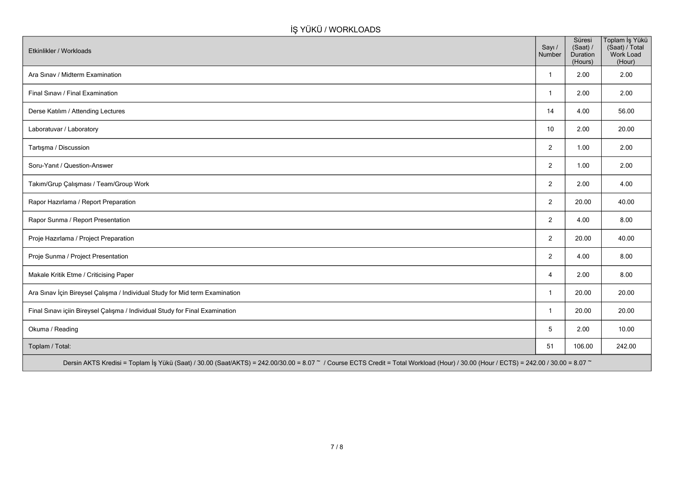## **İŞ YÜKÜ / WORKLOADS**

| Etkinlikler / Workloads                                                                                                                                                              | Sayı /<br>Number | Süresi<br>(Saat) /<br>Duration<br>(Hours) | Toplam İş Yükü<br>(Saat) / Total<br>Work Load<br>(Hour) |
|--------------------------------------------------------------------------------------------------------------------------------------------------------------------------------------|------------------|-------------------------------------------|---------------------------------------------------------|
| Ara Sinav / Midterm Examination                                                                                                                                                      | $\mathbf{1}$     | 2.00                                      | 2.00                                                    |
| Final Sınavı / Final Examination                                                                                                                                                     | $\mathbf{1}$     | 2.00                                      | 2.00                                                    |
| Derse Katılım / Attending Lectures                                                                                                                                                   | 14               | 4.00                                      | 56.00                                                   |
| Laboratuvar / Laboratory                                                                                                                                                             | 10               | 2.00                                      | 20.00                                                   |
| Tartışma / Discussion                                                                                                                                                                | 2                | 1.00                                      | 2.00                                                    |
| Soru-Yanıt / Question-Answer                                                                                                                                                         | 2                | 1.00                                      | 2.00                                                    |
| Takım/Grup Çalışması / Team/Group Work                                                                                                                                               | 2                | 2.00                                      | 4.00                                                    |
| Rapor Hazırlama / Report Preparation                                                                                                                                                 | 2                | 20.00                                     | 40.00                                                   |
| Rapor Sunma / Report Presentation                                                                                                                                                    | 2                | 4.00                                      | 8.00                                                    |
| Proje Hazırlama / Project Preparation                                                                                                                                                | 2                | 20.00                                     | 40.00                                                   |
| Proje Sunma / Project Presentation                                                                                                                                                   | $\overline{2}$   | 4.00                                      | 8.00                                                    |
| Makale Kritik Etme / Criticising Paper                                                                                                                                               | $\overline{4}$   | 2.00                                      | 8.00                                                    |
| Ara Sınav İçin Bireysel Çalışma / Individual Study for Mid term Examination                                                                                                          | $\mathbf{1}$     | 20.00                                     | 20.00                                                   |
| Final Sınavı içiin Bireysel Çalışma / Individual Study for Final Examination                                                                                                         | $\mathbf{1}$     | 20.00                                     | 20.00                                                   |
| Okuma / Reading                                                                                                                                                                      | 5                | 2.00                                      | 10.00                                                   |
| Toplam / Total:                                                                                                                                                                      | 51               | 106.00                                    | 242.00                                                  |
| Dersin AKTS Kredisi = Toplam İş Yükü (Saat) / 30.00 (Saat/AKTS) = 242.00/30.00 = 8.07 ~ / Course ECTS Credit = Total Workload (Hour) / 30.00 (Hour / ECTS) = 242.00 / 30.00 = 8.07 ~ |                  |                                           |                                                         |